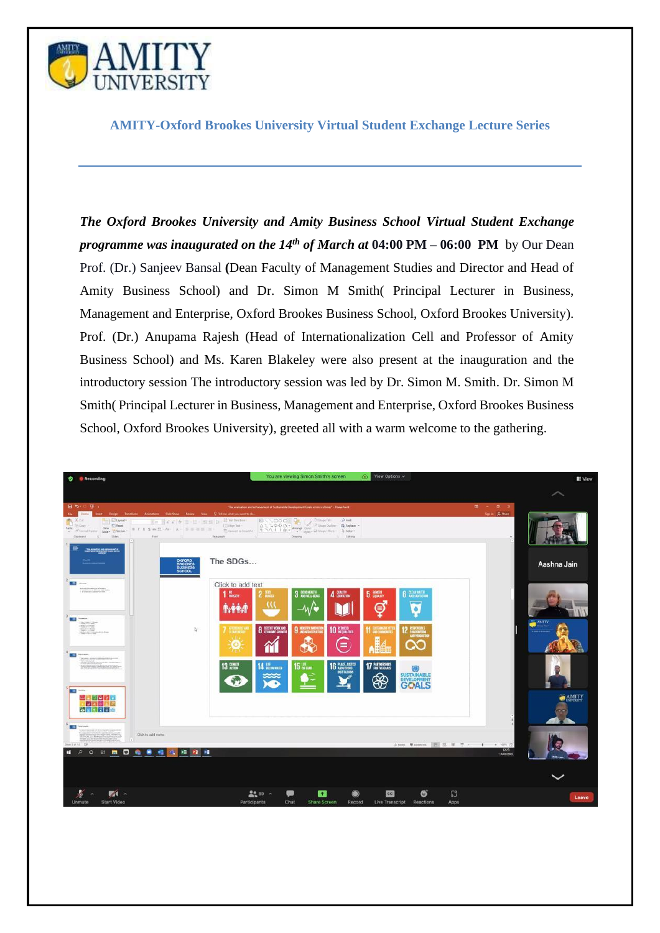

**AMITY-Oxford Brookes University Virtual Student Exchange Lecture Series**

*The Oxford Brookes University and Amity Business School Virtual Student Exchange programme was inaugurated on the 14th of March at* **04:00 PM – 06:00 PM** by Our Dean Prof. (Dr.) Sanjeev Bansal **(**Dean Faculty of Management Studies and Director and Head of Amity Business School) and Dr. Simon M Smith( Principal Lecturer in Business, Management and Enterprise, Oxford Brookes Business School, Oxford Brookes University). Prof. (Dr.) Anupama Rajesh (Head of Internationalization Cell and Professor of Amity Business School) and Ms. Karen Blakeley were also present at the inauguration and the introductory session The introductory session was led by Dr. Simon M. Smith. Dr. Simon M Smith( Principal Lecturer in Business, Management and Enterprise, Oxford Brookes Business School, Oxford Brookes University), greeted all with a warm welcome to the gathering.

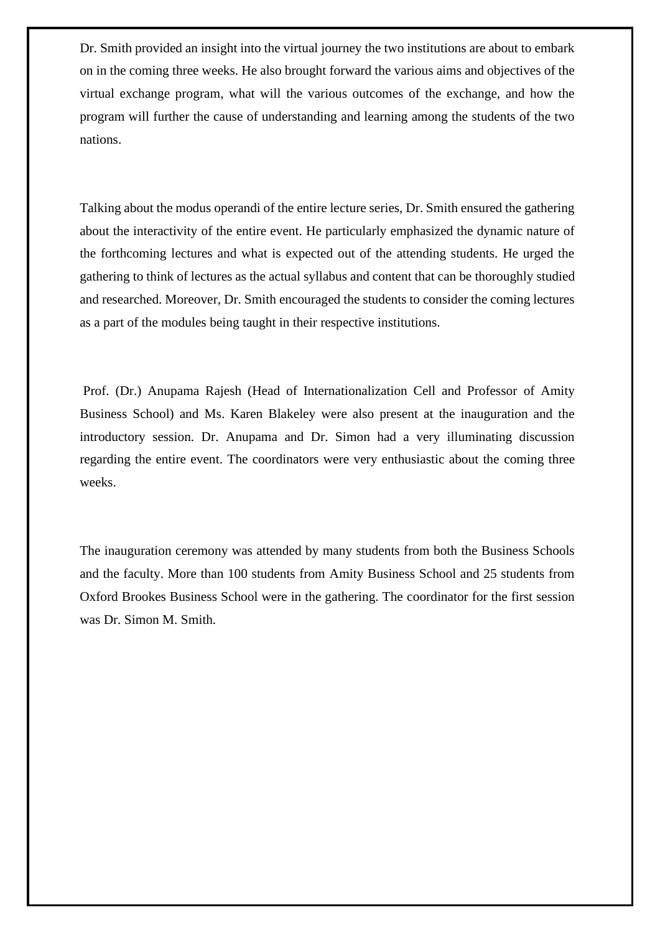Dr. Smith provided an insight into the virtual journey the two institutions are about to embark on in the coming three weeks. He also brought forward the various aims and objectives of the virtual exchange program, what will the various outcomes of the exchange, and how the program will further the cause of understanding and learning among the students of the two nations.

Talking about the modus operandi of the entire lecture series, Dr. Smith ensured the gathering about the interactivity of the entire event. He particularly emphasized the dynamic nature of the forthcoming lectures and what is expected out of the attending students. He urged the gathering to think of lectures as the actual syllabus and content that can be thoroughly studied and researched. Moreover, Dr. Smith encouraged the students to consider the coming lectures as a part of the modules being taught in their respective institutions.

Prof. (Dr.) Anupama Rajesh (Head of Internationalization Cell and Professor of Amity Business School) and Ms. Karen Blakeley were also present at the inauguration and the introductory session. Dr. Anupama and Dr. Simon had a very illuminating discussion regarding the entire event. The coordinators were very enthusiastic about the coming three weeks.

The inauguration ceremony was attended by many students from both the Business Schools and the faculty. More than 100 students from Amity Business School and 25 students from Oxford Brookes Business School were in the gathering. The coordinator for the first session was Dr. Simon M. Smith.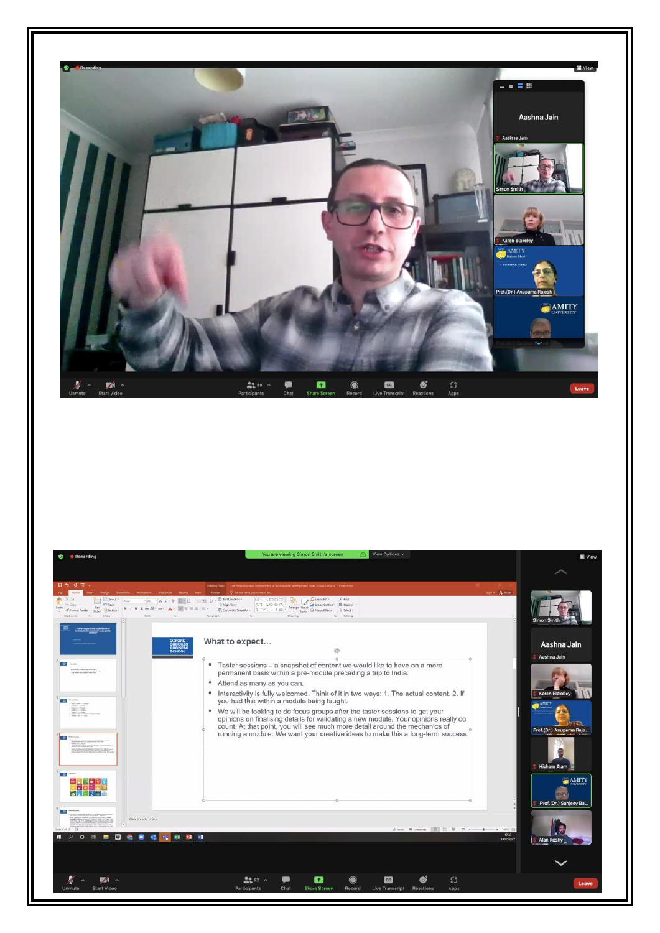